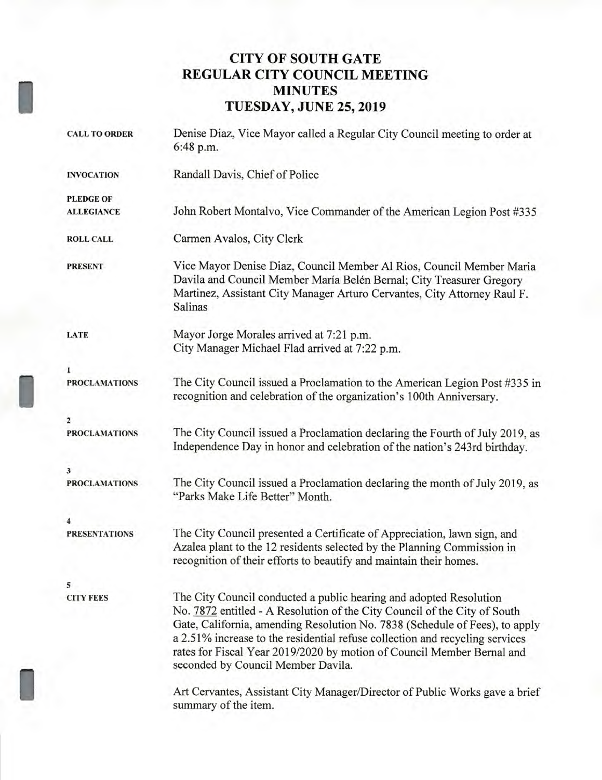# **CITY OF SOUTH GATE REGULAR CITY COUNCIL MEETING MINUTES TUESDAY, JUNE 25, 2019**

| <b>CALL TO ORDER</b> | Denise Diaz, Vice Mayor called a Regular City Council meeting to order at<br>6:48 p.m.                                                                                                                                                                                                                                                                                                                                         |
|----------------------|--------------------------------------------------------------------------------------------------------------------------------------------------------------------------------------------------------------------------------------------------------------------------------------------------------------------------------------------------------------------------------------------------------------------------------|
| <b>INVOCATION</b>    | Randall Davis, Chief of Police                                                                                                                                                                                                                                                                                                                                                                                                 |
| <b>PLEDGE OF</b>     |                                                                                                                                                                                                                                                                                                                                                                                                                                |
| <b>ALLEGIANCE</b>    | John Robert Montalvo, Vice Commander of the American Legion Post #335                                                                                                                                                                                                                                                                                                                                                          |
| <b>ROLL CALL</b>     | Carmen Avalos, City Clerk                                                                                                                                                                                                                                                                                                                                                                                                      |
| <b>PRESENT</b>       | Vice Mayor Denise Diaz, Council Member Al Rios, Council Member Maria<br>Davila and Council Member María Belén Bernal; City Treasurer Gregory<br>Martinez, Assistant City Manager Arturo Cervantes, City Attorney Raul F.<br>Salinas                                                                                                                                                                                            |
| <b>LATE</b>          | Mayor Jorge Morales arrived at 7:21 p.m.                                                                                                                                                                                                                                                                                                                                                                                       |
|                      | City Manager Michael Flad arrived at 7:22 p.m.                                                                                                                                                                                                                                                                                                                                                                                 |
| $\mathbf{1}$         |                                                                                                                                                                                                                                                                                                                                                                                                                                |
| <b>PROCLAMATIONS</b> | The City Council issued a Proclamation to the American Legion Post #335 in<br>recognition and celebration of the organization's 100th Anniversary.                                                                                                                                                                                                                                                                             |
| $\overline{2}$       |                                                                                                                                                                                                                                                                                                                                                                                                                                |
| <b>PROCLAMATIONS</b> | The City Council issued a Proclamation declaring the Fourth of July 2019, as<br>Independence Day in honor and celebration of the nation's 243rd birthday.                                                                                                                                                                                                                                                                      |
| 3                    |                                                                                                                                                                                                                                                                                                                                                                                                                                |
| <b>PROCLAMATIONS</b> | The City Council issued a Proclamation declaring the month of July 2019, as<br>"Parks Make Life Better" Month.                                                                                                                                                                                                                                                                                                                 |
|                      |                                                                                                                                                                                                                                                                                                                                                                                                                                |
| <b>PRESENTATIONS</b> | The City Council presented a Certificate of Appreciation, lawn sign, and<br>Azalea plant to the 12 residents selected by the Planning Commission in<br>recognition of their efforts to beautify and maintain their homes.                                                                                                                                                                                                      |
| 5                    |                                                                                                                                                                                                                                                                                                                                                                                                                                |
| <b>CITY FEES</b>     | The City Council conducted a public hearing and adopted Resolution<br>No. 7872 entitled - A Resolution of the City Council of the City of South<br>Gate, California, amending Resolution No. 7838 (Schedule of Fees), to apply<br>a 2.51% increase to the residential refuse collection and recycling services<br>rates for Fiscal Year 2019/2020 by motion of Council Member Bernal and<br>seconded by Council Member Davila. |
|                      | Art Cervantes, Assistant City Manager/Director of Public Works gave a brief<br>summary of the item.                                                                                                                                                                                                                                                                                                                            |

I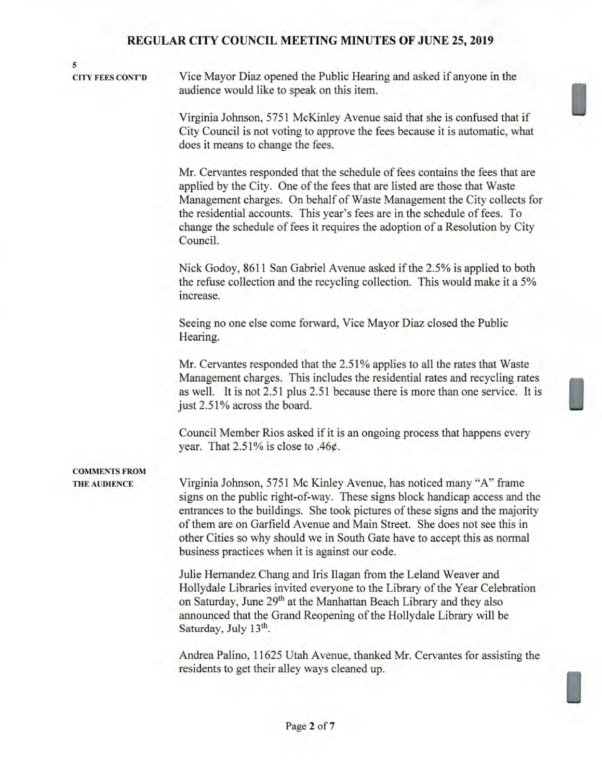#### **5**

**CITY FEES CONT'D** Vice Mayor Diaz opened the Public Hearing and asked if anyone in the audience would like to speak on this item.

> Virginia Johnson, 5751 McKinley Avenue said that she is confused that if City Council is not voting to approve the fees because it is automatic, what does it means to change the fees.

Mr. Cervantes responded that the schedule of fees contains the fees that are applied by the City. One of the fees that are listed are those that Waste Management charges. On behalf of Waste Management the City collects for the residential accounts. This year's fees are in the schedule of fees. To change the schedule of fees it requires the adoption of a Resolution by City Council.

Nick Godoy, 8611 San Gabriel Avenue asked if the 2.5% is applied to both the refuse collection and the recycling collection. This would make it a 5% increase.

Seeing no one else come forward, Vice Mayor Diaz closed the Public Hearing.

Mr. Cervantes responded that the 2.51% applies to all the rates that Waste Management charges. This includes the residential rates and recycling rates as well. It is not 2.51 plus 2.51 because there is more than one service. It is just 2.51% across the board.

Council Member Rios asked if it is an ongoing process that happens every year. That 2.51% is close to .46¢.

# **COMMENTS FROM**

**THE AUDIENCE** Virginia Johnson, 5751 Mc Kinley Avenue, has noticed many "A" frame signs on the public right-of-way. These signs block handicap access and the entrances to the buildings. She took pictures of these signs and the majority of them are on Garfield Avenue and Main Street. She does not see this in other Cities so why should we in South Gate have to accept this as normal business practices when it is against our code.

> Julie Hernandez Chang and Iris Ilagan from the Leland Weaver and Hollydale Libraries invited everyone to the Library of the Year Celebration on Saturday, June **29th** at the Manhattan Beach Library and they also announced that the Grand Reopening of the Hollydale Library will be Saturday, July 13<sup>th</sup>.

Andrea Palino, 11625 Utah Avenue, thanked Mr. Cervantes for assisting the residents to get their alley ways cleaned up.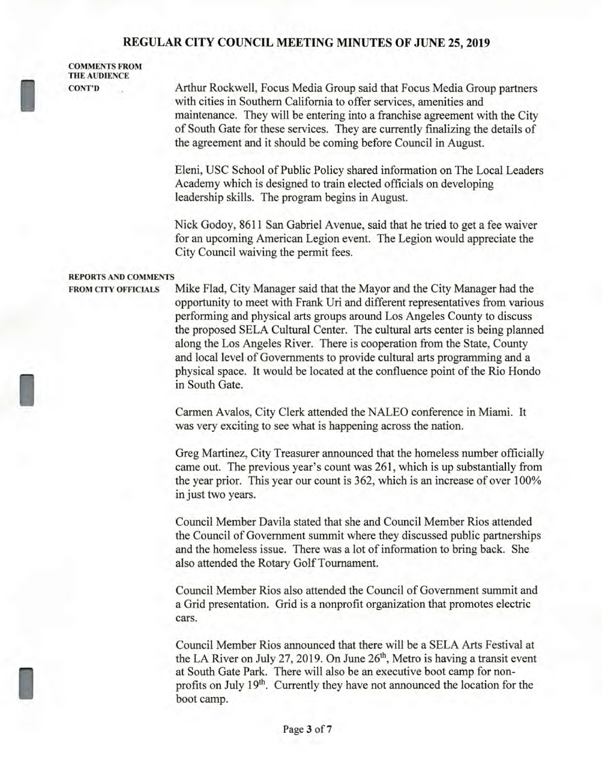COMMET<br>THE AUD<br>CONT'D **COMMENTS FROM THE AUDIENCE** 

**CONT'D** Arthur Rockwell, Focus Media Group said that Focus Media Group partners with cities in Southern California to offer services, amenities and maintenance. They will be entering into a franchise agreement with the City of South Gate for these services. They are currently finalizing the details of the agreement and it should be coming before Council in August.

> Eleni, USC School of Public Policy shared information on The Local Leaders Academy which is designed to train elected officials on developing leadership skills. The program begins in August.

Nick Godoy, 8611 San Gabriel Avenue, said that he tried to get a fee waiver for an upcoming American Legion event. The Legion would appreciate the City Council waiving the permit fees.

#### **REPORTS AND COMMENTS**

FROM CI

I

**FROM CITY OFFICIALS** Mike Flad, City Manager said that the Mayor and the City Manager had the opportunity to meet with Frank Uri and different representatives from various performing and physical arts groups around Los Angeles County to discuss the proposed SELA Cultural Center. The cultural arts center is being planned along the Los Angeles River. There is cooperation from the State, County and local level of Governments to provide cultural arts programming and a physical space. It would be located at the confluence point of the Rio Hondo in South Gate.

> Carmen Avalos, City Clerk attended the NALEO conference in Miami. It was very exciting to see what is happening across the nation.

Greg Martinez, City Treasurer announced that the homeless number officially came out. The previous year's count was 261, which is up substantially from the year prior. This year our count is 362, which is an increase of over 100% in just two years.

Council Member Davila stated that she and Council Member Rios attended the Council of Government summit where they discussed public partnerships and the homeless issue. There was a lot of information to bring back. She also attended the Rotary Golf Tournament.

Council Member Rios also attended the Council of Government summit and a Grid presentation. Grid is a nonprofit organization that promotes electric cars.

Council Member Rios announced that there will be a SELA Arts Festival at the LA River on July 27, 2019. On June  $26<sup>th</sup>$ , Metro is having a transit event at South Gate Park. There will also be an executive boot camp for nonprofits on July 19<sup>th</sup>. Currently they have not announced the location for the boot camp.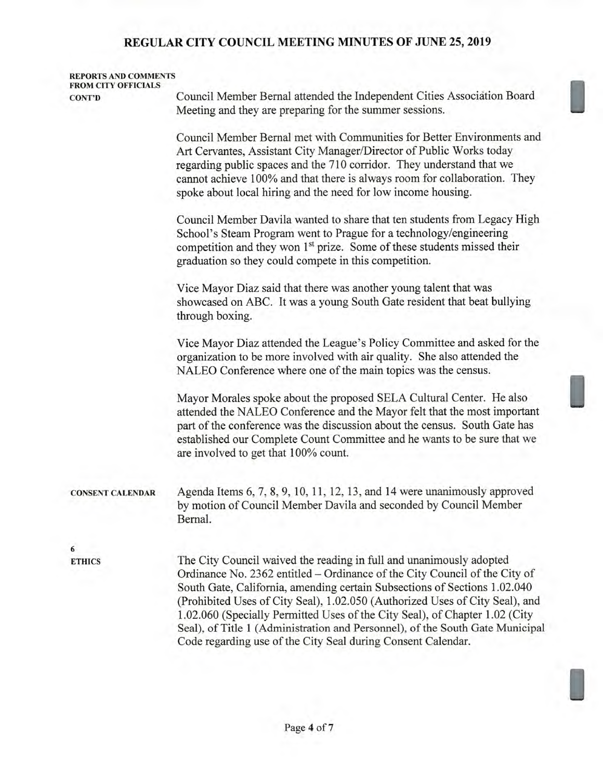| <b>REPORTS AND COMMENTS</b><br><b>FROM CITY OFFICIALS</b> |                                                                                                                                                                                                                                                                                                                                                                                                                                                                                                                                                |
|-----------------------------------------------------------|------------------------------------------------------------------------------------------------------------------------------------------------------------------------------------------------------------------------------------------------------------------------------------------------------------------------------------------------------------------------------------------------------------------------------------------------------------------------------------------------------------------------------------------------|
| <b>CONT'D</b>                                             | Council Member Bernal attended the Independent Cities Association Board<br>Meeting and they are preparing for the summer sessions.                                                                                                                                                                                                                                                                                                                                                                                                             |
|                                                           | Council Member Bernal met with Communities for Better Environments and<br>Art Cervantes, Assistant City Manager/Director of Public Works today<br>regarding public spaces and the 710 corridor. They understand that we<br>cannot achieve 100% and that there is always room for collaboration. They<br>spoke about local hiring and the need for low income housing.                                                                                                                                                                          |
|                                                           | Council Member Davila wanted to share that ten students from Legacy High<br>School's Steam Program went to Prague for a technology/engineering<br>competition and they won 1 <sup>st</sup> prize. Some of these students missed their<br>graduation so they could compete in this competition.                                                                                                                                                                                                                                                 |
|                                                           | Vice Mayor Diaz said that there was another young talent that was<br>showcased on ABC. It was a young South Gate resident that beat bullying<br>through boxing.                                                                                                                                                                                                                                                                                                                                                                                |
|                                                           | Vice Mayor Diaz attended the League's Policy Committee and asked for the<br>organization to be more involved with air quality. She also attended the<br>NALEO Conference where one of the main topics was the census.                                                                                                                                                                                                                                                                                                                          |
|                                                           | Mayor Morales spoke about the proposed SELA Cultural Center. He also<br>attended the NALEO Conference and the Mayor felt that the most important<br>part of the conference was the discussion about the census. South Gate has<br>established our Complete Count Committee and he wants to be sure that we<br>are involved to get that 100% count.                                                                                                                                                                                             |
| <b>CONSENT CALENDAR</b>                                   | Agenda Items 6, 7, 8, 9, 10, 11, 12, 13, and 14 were unanimously approved<br>by motion of Council Member Davila and seconded by Council Member<br>Bernal.                                                                                                                                                                                                                                                                                                                                                                                      |
| 6                                                         |                                                                                                                                                                                                                                                                                                                                                                                                                                                                                                                                                |
| <b>ETHICS</b>                                             | The City Council waived the reading in full and unanimously adopted<br>Ordinance No. 2362 entitled - Ordinance of the City Council of the City of<br>South Gate, California, amending certain Subsections of Sections 1.02.040<br>(Prohibited Uses of City Seal), 1.02.050 (Authorized Uses of City Seal), and<br>1.02.060 (Specially Permitted Uses of the City Seal), of Chapter 1.02 (City<br>Seal), of Title 1 (Administration and Personnel), of the South Gate Municipal<br>Code regarding use of the City Seal during Consent Calendar. |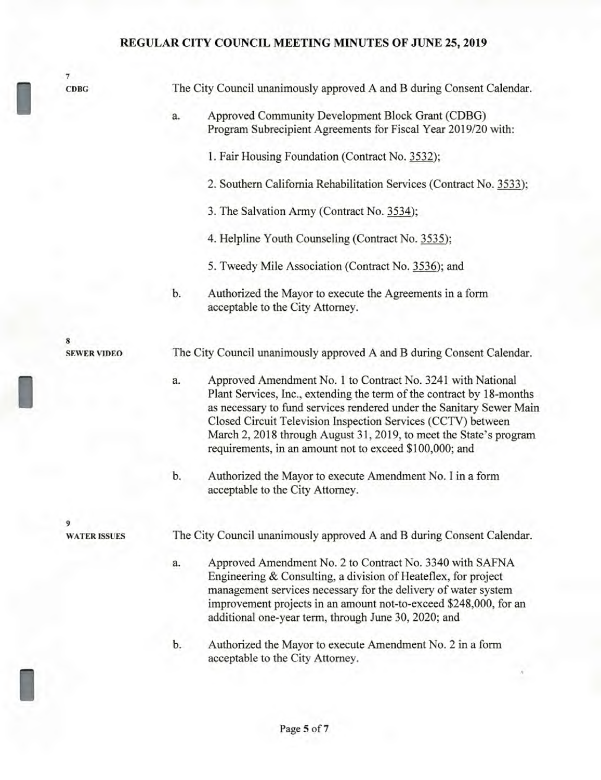**7 CDBG** 

**8** 

**9** 

1

**WATER ISSUES** 

**SEWER VIDEO** 

| Approved Community Development Block Grant (CDBG)<br>a.<br>1. Fair Housing Foundation (Contract No. 3532);<br>3. The Salvation Army (Contract No. 3534);<br>4. Helpline Youth Counseling (Contract No. 3535);<br>5. Tweedy Mile Association (Contract No. 3536); and<br>Authorized the Mayor to execute the Agreements in a form<br>b.<br>acceptable to the City Attorney.<br>The City Council unanimously approved A and B during Consent Calendar.<br>a.<br>requirements, in an amount not to exceed \$100,000; and<br>b.<br>acceptable to the City Attorney.<br>The City Council unanimously approved A and B during Consent Calendar.<br>a.<br>additional one-year term, through June 30, 2020; and | The City Council unanimously approved A and B during Consent Calendar.                                                                                                                                                                                                                                                                             |
|---------------------------------------------------------------------------------------------------------------------------------------------------------------------------------------------------------------------------------------------------------------------------------------------------------------------------------------------------------------------------------------------------------------------------------------------------------------------------------------------------------------------------------------------------------------------------------------------------------------------------------------------------------------------------------------------------------|----------------------------------------------------------------------------------------------------------------------------------------------------------------------------------------------------------------------------------------------------------------------------------------------------------------------------------------------------|
|                                                                                                                                                                                                                                                                                                                                                                                                                                                                                                                                                                                                                                                                                                         | Program Subrecipient Agreements for Fiscal Year 2019/20 with:                                                                                                                                                                                                                                                                                      |
|                                                                                                                                                                                                                                                                                                                                                                                                                                                                                                                                                                                                                                                                                                         |                                                                                                                                                                                                                                                                                                                                                    |
|                                                                                                                                                                                                                                                                                                                                                                                                                                                                                                                                                                                                                                                                                                         | 2. Southern California Rehabilitation Services (Contract No. 3533);                                                                                                                                                                                                                                                                                |
|                                                                                                                                                                                                                                                                                                                                                                                                                                                                                                                                                                                                                                                                                                         |                                                                                                                                                                                                                                                                                                                                                    |
|                                                                                                                                                                                                                                                                                                                                                                                                                                                                                                                                                                                                                                                                                                         |                                                                                                                                                                                                                                                                                                                                                    |
|                                                                                                                                                                                                                                                                                                                                                                                                                                                                                                                                                                                                                                                                                                         |                                                                                                                                                                                                                                                                                                                                                    |
|                                                                                                                                                                                                                                                                                                                                                                                                                                                                                                                                                                                                                                                                                                         |                                                                                                                                                                                                                                                                                                                                                    |
|                                                                                                                                                                                                                                                                                                                                                                                                                                                                                                                                                                                                                                                                                                         |                                                                                                                                                                                                                                                                                                                                                    |
|                                                                                                                                                                                                                                                                                                                                                                                                                                                                                                                                                                                                                                                                                                         | Approved Amendment No. 1 to Contract No. 3241 with National<br>Plant Services, Inc., extending the term of the contract by 18-months<br>as necessary to fund services rendered under the Sanitary Sewer Main<br>Closed Circuit Television Inspection Services (CCTV) between<br>March 2, 2018 through August 31, 2019, to meet the State's program |
|                                                                                                                                                                                                                                                                                                                                                                                                                                                                                                                                                                                                                                                                                                         | Authorized the Mayor to execute Amendment No. I in a form                                                                                                                                                                                                                                                                                          |
|                                                                                                                                                                                                                                                                                                                                                                                                                                                                                                                                                                                                                                                                                                         |                                                                                                                                                                                                                                                                                                                                                    |
|                                                                                                                                                                                                                                                                                                                                                                                                                                                                                                                                                                                                                                                                                                         | Approved Amendment No. 2 to Contract No. 3340 with SAFNA<br>Engineering & Consulting, a division of Heateflex, for project<br>management services necessary for the delivery of water system<br>improvement projects in an amount not-to-exceed \$248,000, for an                                                                                  |
| b.<br>acceptable to the City Attorney.                                                                                                                                                                                                                                                                                                                                                                                                                                                                                                                                                                                                                                                                  | Authorized the Mayor to execute Amendment No. 2 in a form                                                                                                                                                                                                                                                                                          |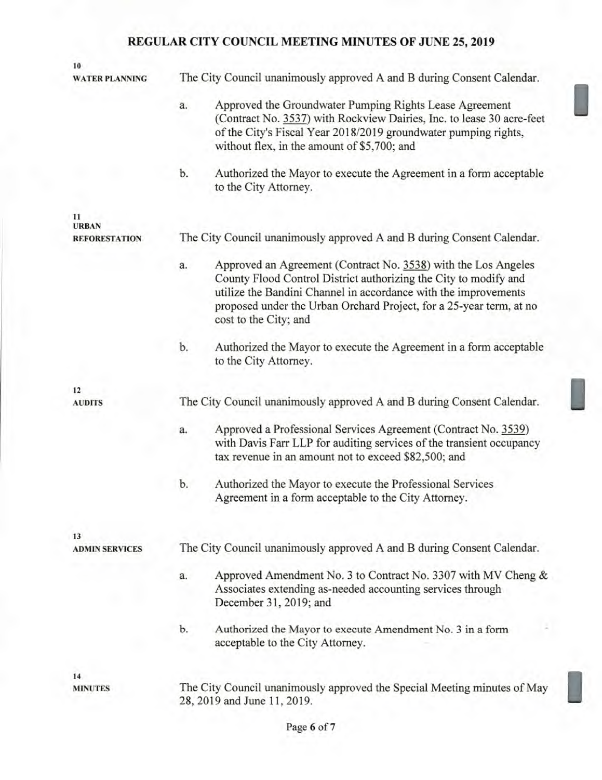| 10                                   |                                                                                                                                                                                                                                                                                                             |  |
|--------------------------------------|-------------------------------------------------------------------------------------------------------------------------------------------------------------------------------------------------------------------------------------------------------------------------------------------------------------|--|
| <b>WATER PLANNING</b>                | The City Council unanimously approved A and B during Consent Calendar.                                                                                                                                                                                                                                      |  |
|                                      | Approved the Groundwater Pumping Rights Lease Agreement<br>a.<br>(Contract No. 3537) with Rockview Dairies, Inc. to lease 30 acre-feet<br>of the City's Fiscal Year 2018/2019 groundwater pumping rights,<br>without flex, in the amount of \$5,700; and                                                    |  |
|                                      | b.<br>Authorized the Mayor to execute the Agreement in a form acceptable<br>to the City Attorney.                                                                                                                                                                                                           |  |
| 11                                   |                                                                                                                                                                                                                                                                                                             |  |
| <b>URBAN</b><br><b>REFORESTATION</b> | The City Council unanimously approved A and B during Consent Calendar.                                                                                                                                                                                                                                      |  |
|                                      | Approved an Agreement (Contract No. 3538) with the Los Angeles<br>a.<br>County Flood Control District authorizing the City to modify and<br>utilize the Bandini Channel in accordance with the improvements<br>proposed under the Urban Orchard Project, for a 25-year term, at no<br>cost to the City; and |  |
|                                      | b.<br>Authorized the Mayor to execute the Agreement in a form acceptable<br>to the City Attorney.                                                                                                                                                                                                           |  |
| 12                                   |                                                                                                                                                                                                                                                                                                             |  |
| <b>AUDITS</b>                        | The City Council unanimously approved A and B during Consent Calendar.                                                                                                                                                                                                                                      |  |
|                                      | Approved a Professional Services Agreement (Contract No. 3539)<br>a.<br>with Davis Farr LLP for auditing services of the transient occupancy<br>tax revenue in an amount not to exceed \$82,500; and                                                                                                        |  |
|                                      | Authorized the Mayor to execute the Professional Services<br>b.<br>Agreement in a form acceptable to the City Attorney.                                                                                                                                                                                     |  |
| 13<br><b>ADMIN SERVICES</b>          | The City Council unanimously approved A and B during Consent Calendar.                                                                                                                                                                                                                                      |  |
|                                      |                                                                                                                                                                                                                                                                                                             |  |
|                                      | Approved Amendment No. 3 to Contract No. 3307 with MV Cheng &<br>a.<br>Associates extending as-needed accounting services through<br>December 31, 2019; and                                                                                                                                                 |  |
|                                      | Authorized the Mayor to execute Amendment No. 3 in a form<br>b.<br>acceptable to the City Attorney.                                                                                                                                                                                                         |  |
| 14                                   |                                                                                                                                                                                                                                                                                                             |  |
| <b>MINUTES</b>                       | The City Council unanimously approved the Special Meeting minutes of May<br>28, 2019 and June 11, 2019.                                                                                                                                                                                                     |  |